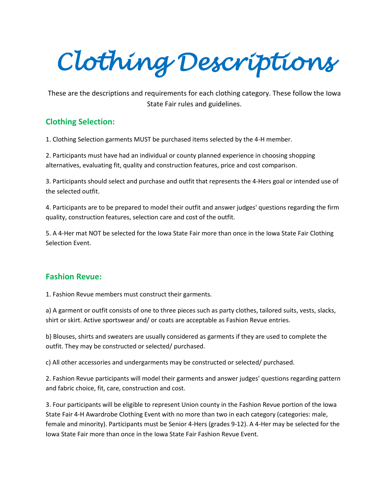*Clothing Descriptions* 

These are the descriptions and requirements for each clothing category. These follow the Iowa State Fair rules and guidelines.

### **Clothing Selection:**

1. Clothing Selection garments MUST be purchased items selected by the 4-H member.

2. Participants must have had an individual or county planned experience in choosing shopping alternatives, evaluating fit, quality and construction features, price and cost comparison.

3. Participants should select and purchase and outfit that represents the 4-Hers goal or intended use of the selected outfit.

4. Participants are to be prepared to model their outfit and answer judges' questions regarding the firm quality, construction features, selection care and cost of the outfit.

5. A 4-Her mat NOT be selected for the Iowa State Fair more than once in the Iowa State Fair Clothing Selection Event.

#### **Fashion Revue:**

1. Fashion Revue members must construct their garments.

a) A garment or outfit consists of one to three pieces such as party clothes, tailored suits, vests, slacks, shirt or skirt. Active sportswear and/ or coats are acceptable as Fashion Revue entries.

b) Blouses, shirts and sweaters are usually considered as garments if they are used to complete the outfit. They may be constructed or selected/ purchased.

c) All other accessories and undergarments may be constructed or selected/ purchased.

2. Fashion Revue participants will model their garments and answer judges' questions regarding pattern and fabric choice, fit, care, construction and cost.

3. Four participants will be eligible to represent Union county in the Fashion Revue portion of the Iowa State Fair 4-H Awardrobe Clothing Event with no more than two in each category (categories: male, female and minority). Participants must be Senior 4-Hers (grades 9-12). A 4-Her may be selected for the Iowa State Fair more than once in the Iowa State Fair Fashion Revue Event.